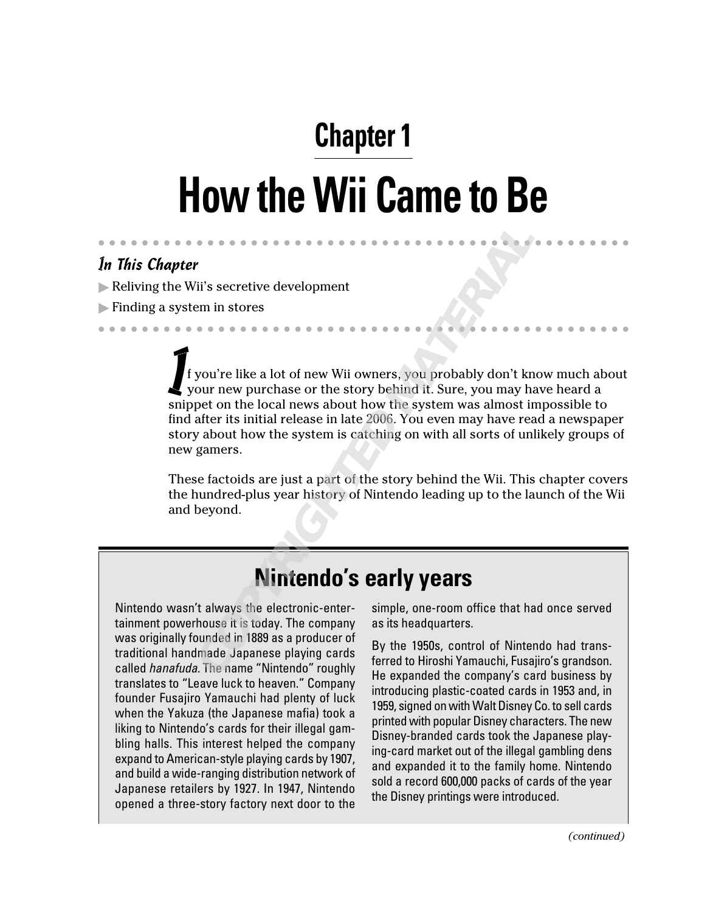# **Chapter 1 How the Wii Came to Be**

#### In This Chapter

- Reliving the Wii's secretive development
- Finding a system in stores

If you're like a lot of new Wii owners, you probably don't know much about your new purchase or the story behind it. Sure, you may have heard a snippet on the local news about how the system was almost impossible to find after its initial release in late 2006. You even may have read a newspaper story about how the system is catching on with all sorts of unlikely groups of new gamers. **COPY THERICAL COPY**<br> **COPY**<br> **COPY**<br> **COPY**<br> **COPY**<br> **COPY**<br> **COPY**<br> **COPY**<br> **COPY**<br> **COPY**<br> **COPY**<br> **COPY**<br> **COPY**<br> **COPY**<br> **COPY**<br> **COPY**<br> **COPY**<br> **COPY**<br> **COPY**<br> **COPY**<br> **COPY**<br> **COPY**<br> **COPY**<br> **COPY**<br> **COPY**<br> **COPY**<br>

These factoids are just a part of the story behind the Wii. This chapter covers the hundred-plus year history of Nintendo leading up to the launch of the Wii and beyond.

### **Nintendo's early years**

Nintendo wasn't always the electronic-entertainment powerhouse it is today. The company was originally founded in 1889 as a producer of traditional handmade Japanese playing cards called *hanafuda*. The name "Nintendo" roughly translates to "Leave luck to heaven." Company founder Fusajiro Yamauchi had plenty of luck when the Yakuza (the Japanese mafia) took a liking to Nintendo's cards for their illegal gambling halls. This interest helped the company expand to American-style playing cards by 1907, and build a wide-ranging distribution network of Japanese retailers by 1927. In 1947, Nintendo opened a three-story factory next door to the

simple, one-room office that had once served as its headquarters.

By the 1950s, control of Nintendo had transferred to Hiroshi Yamauchi, Fusajiro's grandson. He expanded the company's card business by introducing plastic-coated cards in 1953 and, in 1959, signed on with Walt Disney Co. to sell cards printed with popular Disney characters. The new Disney-branded cards took the Japanese playing-card market out of the illegal gambling dens and expanded it to the family home. Nintendo sold a record 600,000 packs of cards of the year the Disney printings were introduced.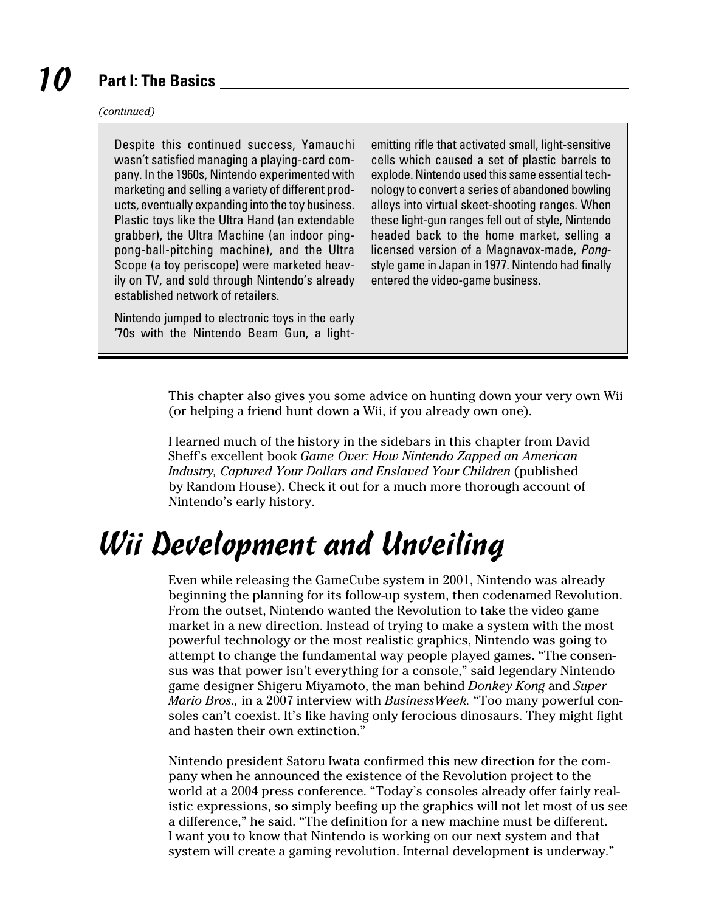### 10 **Part I: The Basics**

*(continued)*

Despite this continued success, Yamauchi wasn't satisfied managing a playing-card company. In the 1960s, Nintendo experimented with marketing and selling a variety of different products, eventually expanding into the toy business. Plastic toys like the Ultra Hand (an extendable grabber), the Ultra Machine (an indoor pingpong-ball-pitching machine), and the Ultra Scope (a toy periscope) were marketed heavily on TV, and sold through Nintendo's already established network of retailers.

Nintendo jumped to electronic toys in the early '70s with the Nintendo Beam Gun, a lightemitting rifle that activated small, light-sensitive cells which caused a set of plastic barrels to explode. Nintendo used this same essential technology to convert a series of abandoned bowling alleys into virtual skeet-shooting ranges. When these light-gun ranges fell out of style, Nintendo headed back to the home market, selling a licensed version of a Magnavox-made, Pongstyle game in Japan in 1977. Nintendo had finally entered the video-game business.

This chapter also gives you some advice on hunting down your very own Wii (or helping a friend hunt down a Wii, if you already own one).

I learned much of the history in the sidebars in this chapter from David Sheff's excellent book *Game Over: How Nintendo Zapped an American Industry, Captured Your Dollars and Enslaved Your Children* (published by Random House). Check it out for a much more thorough account of Nintendo's early history.

### Wii Development and Unveiling

Even while releasing the GameCube system in 2001, Nintendo was already beginning the planning for its follow-up system, then codenamed Revolution. From the outset, Nintendo wanted the Revolution to take the video game market in a new direction. Instead of trying to make a system with the most powerful technology or the most realistic graphics, Nintendo was going to attempt to change the fundamental way people played games. "The consensus was that power isn't everything for a console," said legendary Nintendo game designer Shigeru Miyamoto, the man behind *Donkey Kong* and *Super Mario Bros.,* in a 2007 interview with *BusinessWeek.* "Too many powerful consoles can't coexist. It's like having only ferocious dinosaurs. They might fight and hasten their own extinction."

Nintendo president Satoru Iwata confirmed this new direction for the company when he announced the existence of the Revolution project to the world at a 2004 press conference. "Today's consoles already offer fairly realistic expressions, so simply beefing up the graphics will not let most of us see a difference," he said. "The definition for a new machine must be different. I want you to know that Nintendo is working on our next system and that system will create a gaming revolution. Internal development is underway."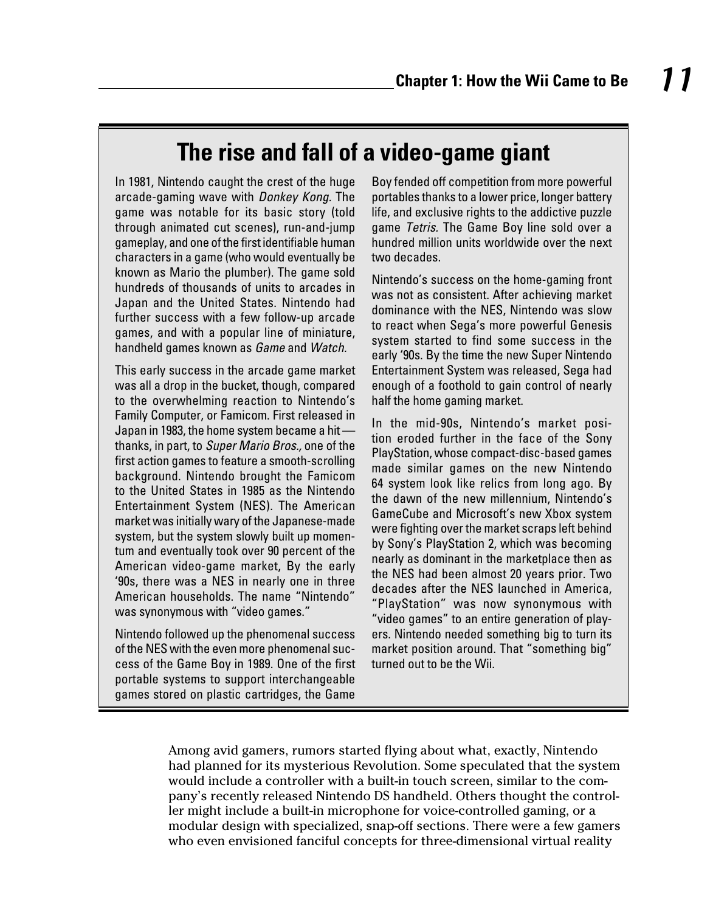### **The rise and fall of a video-game giant**

In 1981, Nintendo caught the crest of the huge arcade-gaming wave with Donkey Kong. The game was notable for its basic story (told through animated cut scenes), run-and-jump gameplay, and one of the first identifiable human characters in a game (who would eventually be known as Mario the plumber). The game sold hundreds of thousands of units to arcades in Japan and the United States. Nintendo had further success with a few follow-up arcade games, and with a popular line of miniature, handheld games known as Game and Watch.

This early success in the arcade game market was all a drop in the bucket, though, compared to the overwhelming reaction to Nintendo's Family Computer, or Famicom. First released in Japan in 1983, the home system became a hit thanks, in part, to Super Mario Bros., one of the first action games to feature a smooth-scrolling background. Nintendo brought the Famicom to the United States in 1985 as the Nintendo Entertainment System (NES). The American market was initially wary of the Japanese-made system, but the system slowly built up momentum and eventually took over 90 percent of the American video-game market, By the early '90s, there was a NES in nearly one in three American households. The name "Nintendo" was synonymous with "video games."

Nintendo followed up the phenomenal success of the NES with the even more phenomenal success of the Game Boy in 1989. One of the first portable systems to support interchangeable games stored on plastic cartridges, the Game

Boy fended off competition from more powerful portables thanks to a lower price, longer battery life, and exclusive rights to the addictive puzzle game Tetris. The Game Boy line sold over a hundred million units worldwide over the next two decades.

Nintendo's success on the home-gaming front was not as consistent. After achieving market dominance with the NES, Nintendo was slow to react when Sega's more powerful Genesis system started to find some success in the early '90s. By the time the new Super Nintendo Entertainment System was released, Sega had enough of a foothold to gain control of nearly half the home gaming market.

In the mid-90s, Nintendo's market position eroded further in the face of the Sony PlayStation, whose compact-disc-based games made similar games on the new Nintendo 64 system look like relics from long ago. By the dawn of the new millennium, Nintendo's GameCube and Microsoft's new Xbox system were fighting over the market scraps left behind by Sony's PlayStation 2, which was becoming nearly as dominant in the marketplace then as the NES had been almost 20 years prior. Two decades after the NES launched in America, "PlayStation" was now synonymous with "video games" to an entire generation of players. Nintendo needed something big to turn its market position around. That "something big" turned out to be the Wii.

Among avid gamers, rumors started flying about what, exactly, Nintendo had planned for its mysterious Revolution. Some speculated that the system would include a controller with a built-in touch screen, similar to the company's recently released Nintendo DS handheld. Others thought the controller might include a built-in microphone for voice-controlled gaming, or a modular design with specialized, snap-off sections. There were a few gamers who even envisioned fanciful concepts for three-dimensional virtual reality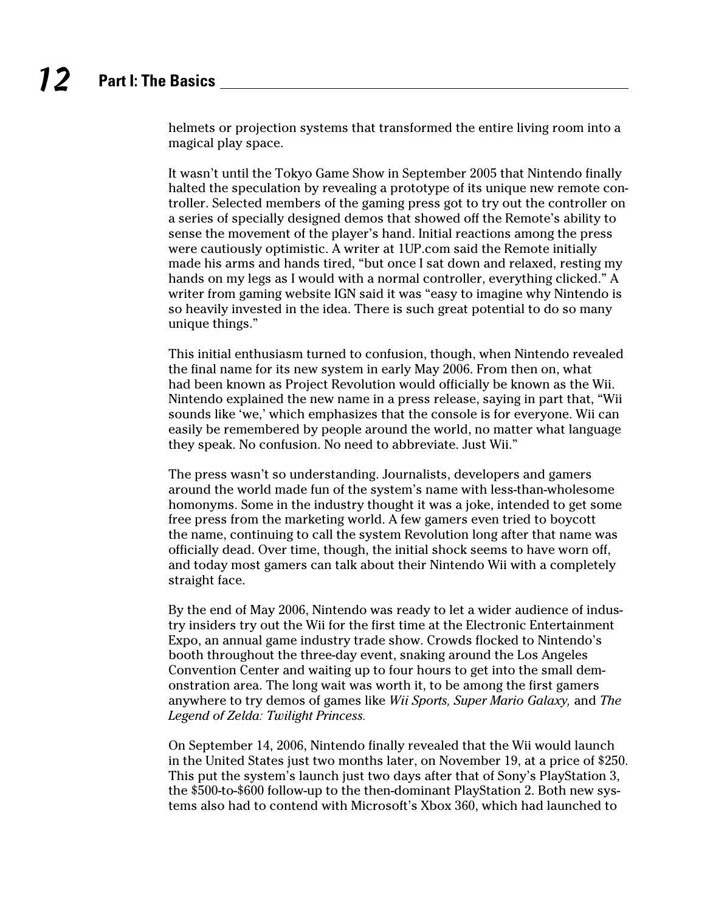#### 12 **Part I: The Basics**

helmets or projection systems that transformed the entire living room into a magical play space.

It wasn't until the Tokyo Game Show in September 2005 that Nintendo finally halted the speculation by revealing a prototype of its unique new remote controller. Selected members of the gaming press got to try out the controller on a series of specially designed demos that showed off the Remote's ability to sense the movement of the player's hand. Initial reactions among the press were cautiously optimistic. A writer at 1UP.com said the Remote initially made his arms and hands tired, "but once I sat down and relaxed, resting my hands on my legs as I would with a normal controller, everything clicked." A writer from gaming website IGN said it was "easy to imagine why Nintendo is so heavily invested in the idea. There is such great potential to do so many unique things."

This initial enthusiasm turned to confusion, though, when Nintendo revealed the final name for its new system in early May 2006. From then on, what had been known as Project Revolution would officially be known as the Wii. Nintendo explained the new name in a press release, saying in part that, "Wii sounds like 'we,' which emphasizes that the console is for everyone. Wii can easily be remembered by people around the world, no matter what language they speak. No confusion. No need to abbreviate. Just Wii."

The press wasn't so understanding. Journalists, developers and gamers around the world made fun of the system's name with less-than-wholesome homonyms. Some in the industry thought it was a joke, intended to get some free press from the marketing world. A few gamers even tried to boycott the name, continuing to call the system Revolution long after that name was officially dead. Over time, though, the initial shock seems to have worn off, and today most gamers can talk about their Nintendo Wii with a completely straight face.

By the end of May 2006, Nintendo was ready to let a wider audience of industry insiders try out the Wii for the first time at the Electronic Entertainment Expo, an annual game industry trade show. Crowds flocked to Nintendo's booth throughout the three-day event, snaking around the Los Angeles Convention Center and waiting up to four hours to get into the small demonstration area. The long wait was worth it, to be among the first gamers anywhere to try demos of games like *Wii Sports, Super Mario Galaxy,* and *The Legend of Zelda: Twilight Princess.*

On September 14, 2006, Nintendo finally revealed that the Wii would launch in the United States just two months later, on November 19, at a price of \$250. This put the system's launch just two days after that of Sony's PlayStation 3, the \$500-to-\$600 follow-up to the then-dominant PlayStation 2. Both new systems also had to contend with Microsoft's Xbox 360, which had launched to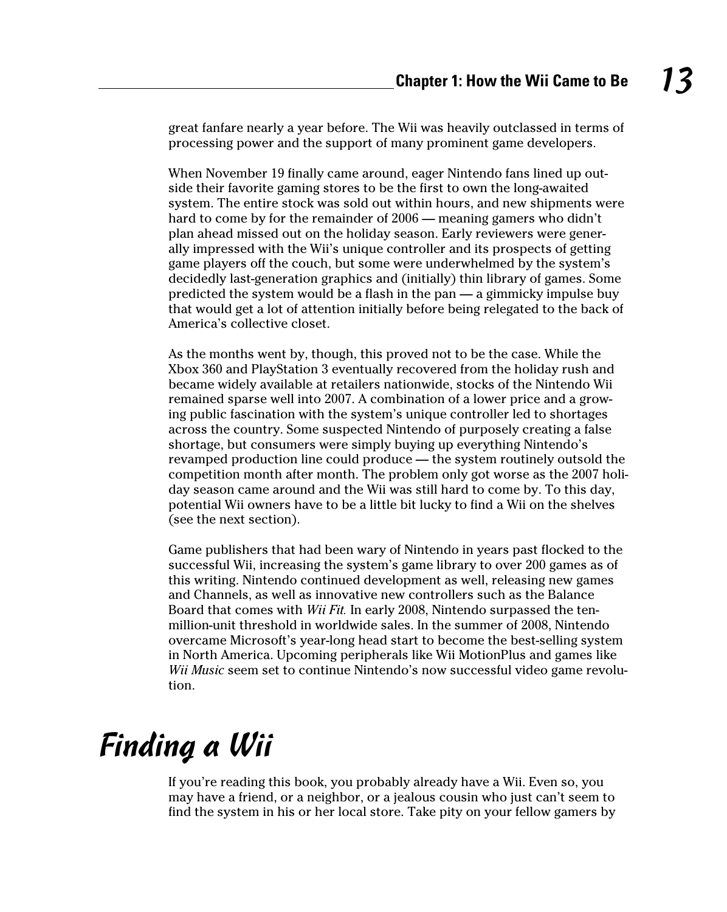great fanfare nearly a year before. The Wii was heavily outclassed in terms of processing power and the support of many prominent game developers.

When November 19 finally came around, eager Nintendo fans lined up outside their favorite gaming stores to be the first to own the long-awaited system. The entire stock was sold out within hours, and new shipments were hard to come by for the remainder of 2006 — meaning gamers who didn't plan ahead missed out on the holiday season. Early reviewers were generally impressed with the Wii's unique controller and its prospects of getting game players off the couch, but some were underwhelmed by the system's decidedly last-generation graphics and (initially) thin library of games. Some predicted the system would be a flash in the pan — a gimmicky impulse buy that would get a lot of attention initially before being relegated to the back of America's collective closet.

As the months went by, though, this proved not to be the case. While the Xbox 360 and PlayStation 3 eventually recovered from the holiday rush and became widely available at retailers nationwide, stocks of the Nintendo Wii remained sparse well into 2007. A combination of a lower price and a growing public fascination with the system's unique controller led to shortages across the country. Some suspected Nintendo of purposely creating a false shortage, but consumers were simply buying up everything Nintendo's revamped production line could produce — the system routinely outsold the competition month after month. The problem only got worse as the 2007 holiday season came around and the Wii was still hard to come by. To this day, potential Wii owners have to be a little bit lucky to find a Wii on the shelves (see the next section).

Game publishers that had been wary of Nintendo in years past flocked to the successful Wii, increasing the system's game library to over 200 games as of this writing. Nintendo continued development as well, releasing new games and Channels, as well as innovative new controllers such as the Balance Board that comes with *Wii Fit.* In early 2008, Nintendo surpassed the tenmillion-unit threshold in worldwide sales. In the summer of 2008, Nintendo overcame Microsoft's year-long head start to become the best-selling system in North America. Upcoming peripherals like Wii MotionPlus and games like *Wii Music* seem set to continue Nintendo's now successful video game revolution.

## Finding a Wii

If you're reading this book, you probably already have a Wii. Even so, you may have a friend, or a neighbor, or a jealous cousin who just can't seem to find the system in his or her local store. Take pity on your fellow gamers by